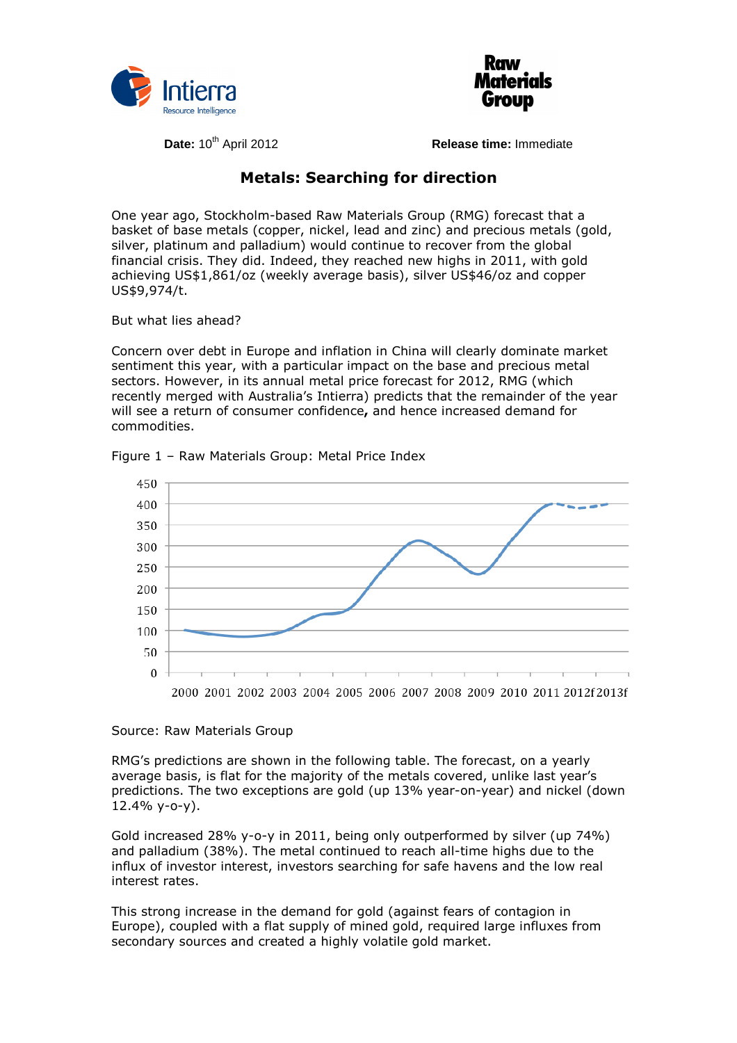



**Date:** 10<sup>th</sup> April 2012 **Release time:** Immediate

## **Metals: Searching for direction**

One year ago, Stockholm-based Raw Materials Group (RMG) forecast that a basket of base metals (copper, nickel, lead and zinc) and precious metals (gold, silver, platinum and palladium) would continue to recover from the global financial crisis. They did. Indeed, they reached new highs in 2011, with gold achieving US\$1,861/oz (weekly average basis), silver US\$46/oz and copper US\$9,974/t.

But what lies ahead?

Concern over debt in Europe and inflation in China will clearly dominate market sentiment this year, with a particular impact on the base and precious metal sectors. However, in its annual metal price forecast for 2012, RMG (which recently merged with Australia's Intierra) predicts that the remainder of the year will see a return of consumer confidence**,** and hence increased demand for commodities.



Figure 1 – Raw Materials Group: Metal Price Index

## Source: Raw Materials Group

RMG's predictions are shown in the following table. The forecast, on a yearly average basis, is flat for the majority of the metals covered, unlike last year's predictions. The two exceptions are gold (up 13% year-on-year) and nickel (down 12.4% y-o-y).

Gold increased 28% y-o-y in 2011, being only outperformed by silver (up 74%) and palladium (38%). The metal continued to reach all-time highs due to the influx of investor interest, investors searching for safe havens and the low real interest rates.

This strong increase in the demand for gold (against fears of contagion in Europe), coupled with a flat supply of mined gold, required large influxes from secondary sources and created a highly volatile gold market.